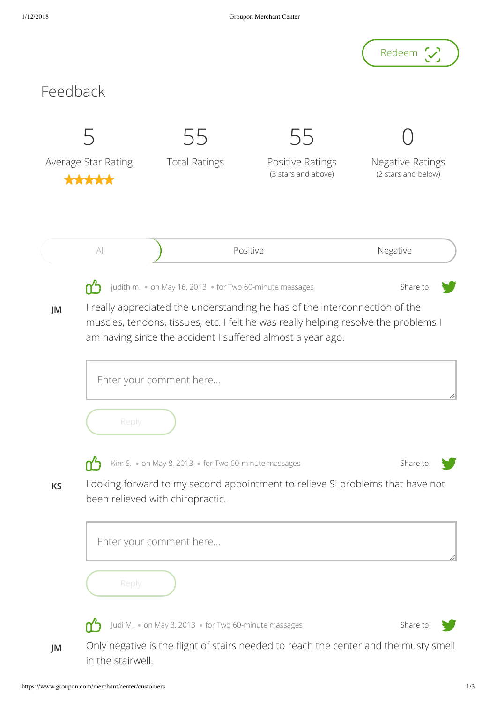